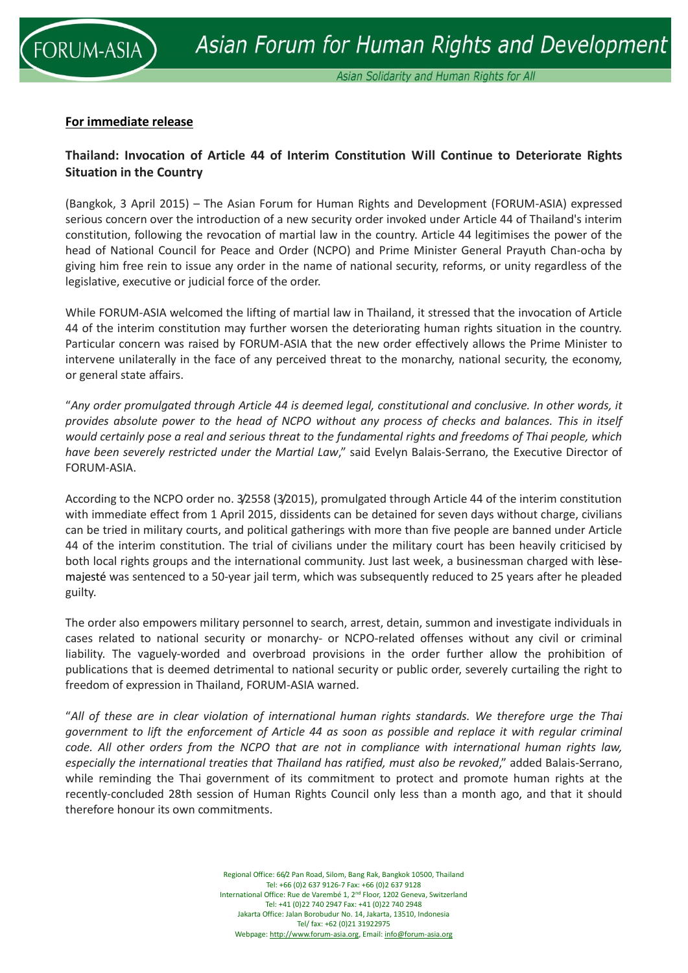

## **For immediate release**

## **Thailand: Invocation of Article 44 of Interim Constitution Will Continue to Deteriorate Rights Situation in the Country**

(Bangkok, 3 April 2015) – The Asian Forum for Human Rights and Development (FORUM-ASIA) expressed serious concern over the introduction of a new security order invoked under Article 44 of Thailand's interim constitution, following the revocation of martial law in the country. Article 44 legitimises the power of the head of National Council for Peace and Order (NCPO) and Prime Minister General Prayuth Chan-ocha by giving him free rein to issue any order in the name of national security, reforms, or unity regardless of the legislative, executive or judicial force of the order.

While FORUM-ASIA welcomed the lifting of martial law in Thailand, it stressed that the invocation of Article 44 of the interim constitution may further worsen the deteriorating human rights situation in the country. Particular concern was raised by FORUM-ASIA that the new order effectively allows the Prime Minister to intervene unilaterally in the face of any perceived threat to the monarchy, national security, the economy, or general state affairs.

"*Any order promulgated through Article 44 is deemed legal, constitutional and conclusive. In other words, it provides absolute power to the head of NCPO without any process of checks and balances. This in itself would certainly pose a real and serious threat to the fundamental rights and freedoms of Thai people, which have been severely restricted under the Martial Law*," said Evelyn Balais-Serrano, the Executive Director of FORUM-ASIA.

According to the NCPO order no. 3/2558 (3/2015), promulgated through Article 44 of the interim constitution with immediate effect from 1 April 2015, dissidents can be detained for seven days without charge, civilians can be tried in military courts, and political gatherings with more than five people are banned under Article 44 of the interim constitution. The trial of civilians under the military court has been heavily criticised by both local rights groups and the international community. Just last week, a businessman charged with lèsemajesté was sentenced to a 50-year jail term, which was subsequently reduced to 25 years after he pleaded guilty.

The order also empowers military personnel to search, arrest, detain, summon and investigate individuals in cases related to national security or monarchy- or NCPO-related offenses without any civil or criminal liability. The vaguely-worded and overbroad provisions in the order further allow the prohibition of publications that is deemed detrimental to national security or public order, severely curtailing the right to freedom of expression in Thailand, FORUM-ASIA warned.

"*All of these are in clear violation of international human rights standards. We therefore urge the Thai government to lift the enforcement of Article 44 as soon as possible and replace it with regular criminal code. All other orders from the NCPO that are not in compliance with international human rights law, especially the international treaties that Thailand has ratified, must also be revoked*," added Balais-Serrano, while reminding the Thai government of its commitment to protect and promote human rights at the recently-concluded 28th session of Human Rights Council only less than a month ago, and that it should therefore honour its own commitments.

> Regional Office: 66/2 Pan Road, Silom, Bang Rak, Bangkok 10500, Thailand Tel: +66 (0)2 637 9126-7 Fax: +66 (0)2 637 9128 International Office: Rue de Varembé 1, 2nd Floor, 1202 Geneva, Switzerland Tel: +41 (0)22 740 2947 Fax: +41 (0)22 740 2948 Jakarta Office: Jalan Borobudur No. 14, Jakarta, 13510, Indonesia Tel/ fax: +62 (0)21 31922975 Webpage: [http://www.forum-asia.org,](http://www.forum-asia.org/) Email[: info@forum-asia.org](mailto:info@forum-asia.org)